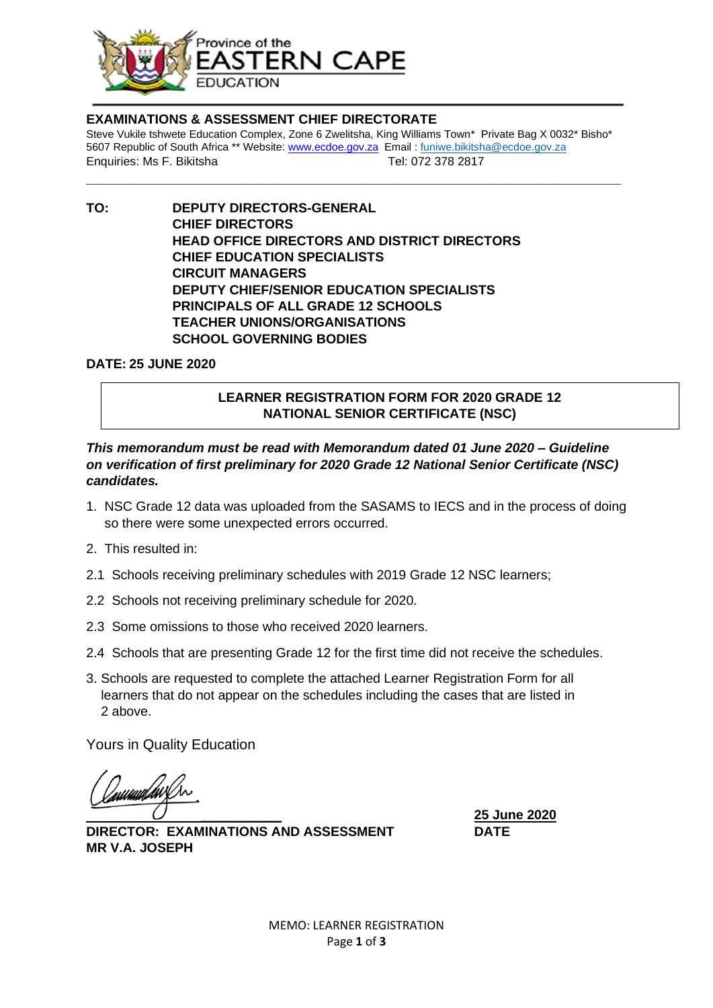

#### **EXAMINATIONS & ASSESSMENT CHIEF DIRECTORATE**

Steve Vukile tshwete Education Complex, Zone 6 Zwelitsha, King Williams Town\* Private Bag X 0032\* Bisho\* 5607 Republic of South Africa \*\* Website[: www.ecdoe.gov.za](http://www.ecdoe.gov.za/) Email : [funiwe.bikitsha@ecdoe.gov.za](mailto:funiwe.bikitsha@ecdoe.gov.za) Enquiries: Ms F. Bikitsha Tel: 072 378 2817 **\_\_\_\_\_\_\_\_\_\_\_\_\_\_\_\_\_\_\_\_\_\_\_\_\_\_\_\_\_\_\_\_\_\_\_\_\_\_\_\_\_\_\_\_\_\_\_\_\_\_\_\_\_\_\_\_\_\_\_\_\_\_\_\_\_\_\_**

**TO: DEPUTY DIRECTORS-GENERAL CHIEF DIRECTORS HEAD OFFICE DIRECTORS AND DISTRICT DIRECTORS CHIEF EDUCATION SPECIALISTS CIRCUIT MANAGERS DEPUTY CHIEF/SENIOR EDUCATION SPECIALISTS PRINCIPALS OF ALL GRADE 12 SCHOOLS TEACHER UNIONS/ORGANISATIONS SCHOOL GOVERNING BODIES**

**DATE: 25 JUNE 2020**

## **LEARNER REGISTRATION FORM FOR 2020 GRADE 12 NATIONAL SENIOR CERTIFICATE (NSC)**

### *This memorandum must be read with Memorandum dated 01 June 2020 – Guideline on verification of first preliminary for 2020 Grade 12 National Senior Certificate (NSC) candidates.*

- 1. NSC Grade 12 data was uploaded from the SASAMS to IECS and in the process of doing so there were some unexpected errors occurred.
- 2. This resulted in:
- 2.1 Schools receiving preliminary schedules with 2019 Grade 12 NSC learners;
- 2.2 Schools not receiving preliminary schedule for 2020.
- 2.3 Some omissions to those who received 2020 learners.
- 2.4 Schools that are presenting Grade 12 for the first time did not receive the schedules.
- 3. Schools are requested to complete the attached Learner Registration Form for all learners that do not appear on the schedules including the cases that are listed in 2 above.

Yours in Quality Education

numulawi

**DIRECTOR: EXAMINATIONS AND ASSESSMENT DATE MR V.A. JOSEPH**

\_\_\_\_\_\_\_\_\_\_\_ **25 June 2020**

MEMO: LEARNER REGISTRATION Page **1** of **3**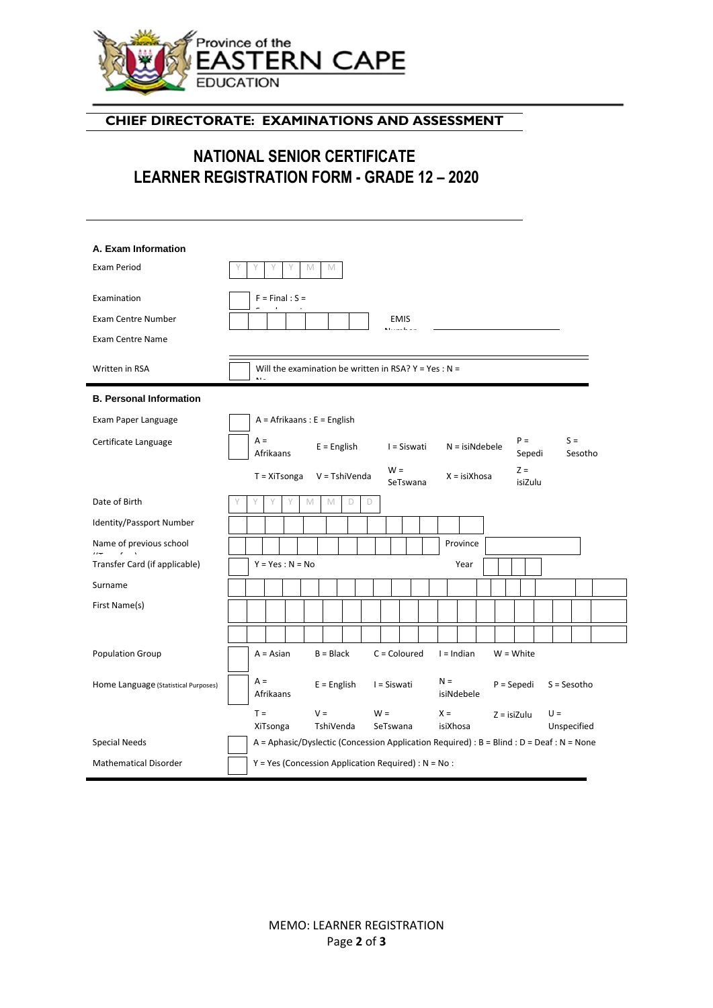

# **CHIEF DIRECTORATE: EXAMINATIONS AND ASSESSMENT**

# **NATIONAL SENIOR CERTIFICATE LEARNER REGISTRATION FORM - GRADE 12 – 2020**

| A. Exam Information                    |                                                                                                                             |
|----------------------------------------|-----------------------------------------------------------------------------------------------------------------------------|
| <b>Exam Period</b>                     | M<br>M<br>Υ                                                                                                                 |
| Examination                            | $F = Final : S =$                                                                                                           |
| <b>Exam Centre Number</b>              | <b>EMIS</b>                                                                                                                 |
| <b>Exam Centre Name</b>                |                                                                                                                             |
| Written in RSA                         | Will the examination be written in RSA? $Y = Yes : N =$                                                                     |
| <b>B. Personal Information</b>         |                                                                                                                             |
| Exam Paper Language                    | $A =$ Afrikaans : E = English                                                                                               |
| Certificate Language                   | $P =$<br>$S =$<br>$A =$<br>$E =$ English<br>I = Siswati<br>$N = isiNdebele$<br>Sesotho<br>Afrikaans<br>Sepedi               |
|                                        | $Z =$<br>$W =$<br>V = TshiVenda<br>$X = isiXhosa$<br>$T = XiTsonga$<br>isiZulu<br>SeTswana                                  |
| Date of Birth                          | Y<br>M<br>M<br>D<br>D                                                                                                       |
| Identity/Passport Number               |                                                                                                                             |
| Name of previous school<br>$H = 1.135$ | Province                                                                                                                    |
| Transfer Card (if applicable)          | $Y = Yes : N = No$<br>Year                                                                                                  |
| Surname                                |                                                                                                                             |
| First Name(s)                          |                                                                                                                             |
|                                        |                                                                                                                             |
| <b>Population Group</b>                | $B = Black$<br>$C =$ Coloured<br>$I = Indian$<br>$W = White$<br>$A = Asian$                                                 |
| Home Language (Statistical Purposes)   | $A =$<br>$N =$<br>$E =$ English<br>I = Siswati<br>$P =$ Sepedi<br>$S =$ Sesotho<br>Afrikaans<br>isiNdebele                  |
|                                        | $T =$<br>$V =$<br>$W =$<br>$X =$<br>$U =$<br>$Z = i$ siZulu<br>XiTsonga<br>TshiVenda<br>SeTswana<br>isiXhosa<br>Unspecified |
| Special Needs                          | A = Aphasic/Dyslectic (Concession Application Required) : $B = Blind : D = Deaf : N = None$                                 |
| <b>Mathematical Disorder</b>           | $Y = Yes$ (Concession Application Required) : $N = No$ :                                                                    |

MEMO: LEARNER REGISTRATION Page **2** of **3**